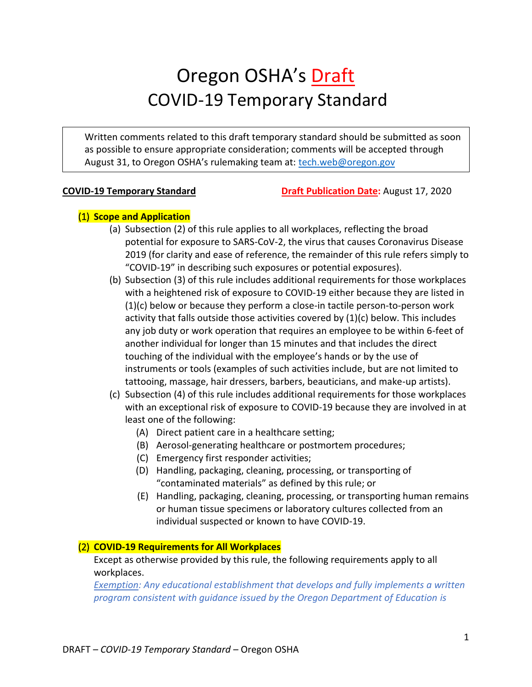# Oregon OSHA's Draft COVID-19 Temporary Standard

Written comments related to this draft temporary standard should be submitted as soon as possible to ensure appropriate consideration; comments will be accepted through August 31, to Oregon OSHA's rulemaking team at: [tech.web@oregon.gov](mailto:tech.web@oregon.gov)

**COVID-19 Temporary Standard Draft Publication Date:** August 17, 2020

# (1) **Scope and Application**

- (a) Subsection (2) of this rule applies to all workplaces, reflecting the broad potential for exposure to SARS-CoV-2, the virus that causes Coronavirus Disease 2019 (for clarity and ease of reference, the remainder of this rule refers simply to "COVID-19" in describing such exposures or potential exposures).
- (b) Subsection (3) of this rule includes additional requirements for those workplaces with a heightened risk of exposure to COVID-19 either because they are listed in (1)(c) below or because they perform a close-in tactile person-to-person work activity that falls outside those activities covered by  $(1)(c)$  below. This includes any job duty or work operation that requires an employee to be within 6-feet of another individual for longer than 15 minutes and that includes the direct touching of the individual with the employee's hands or by the use of instruments or tools (examples of such activities include, but are not limited to tattooing, massage, hair dressers, barbers, beauticians, and make-up artists).
- (c) Subsection (4) of this rule includes additional requirements for those workplaces with an exceptional risk of exposure to COVID-19 because they are involved in at least one of the following:
	- (A) Direct patient care in a healthcare setting;
	- (B) Aerosol-generating healthcare or postmortem procedures;
	- (C) Emergency first responder activities;
	- (D) Handling, packaging, cleaning, processing, or transporting of "contaminated materials" as defined by this rule; or
	- (E) Handling, packaging, cleaning, processing, or transporting human remains or human tissue specimens or laboratory cultures collected from an individual suspected or known to have COVID-19.

# (2) **COVID-19 Requirements for All Workplaces**

Except as otherwise provided by this rule, the following requirements apply to all workplaces.

*Exemption: Any educational establishment that develops and fully implements a written program consistent with guidance issued by the Oregon Department of Education is*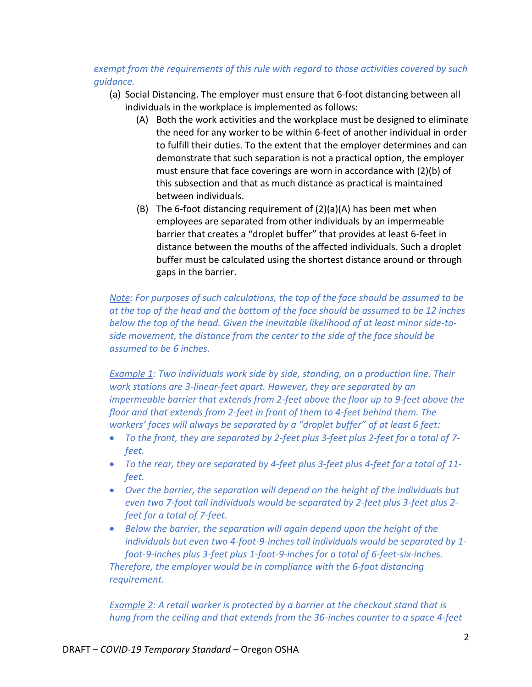*exempt from the requirements of this rule with regard to those activities covered by such guidance.*

- (a) Social Distancing. The employer must ensure that 6-foot distancing between all individuals in the workplace is implemented as follows:
	- (A) Both the work activities and the workplace must be designed to eliminate the need for any worker to be within 6-feet of another individual in order to fulfill their duties. To the extent that the employer determines and can demonstrate that such separation is not a practical option, the employer must ensure that face coverings are worn in accordance with (2)(b) of this subsection and that as much distance as practical is maintained between individuals.
	- (B) The 6-foot distancing requirement of (2)(a)(A) has been met when employees are separated from other individuals by an impermeable barrier that creates a "droplet buffer" that provides at least 6-feet in distance between the mouths of the affected individuals. Such a droplet buffer must be calculated using the shortest distance around or through gaps in the barrier.

*Note: For purposes of such calculations, the top of the face should be assumed to be at the top of the head and the bottom of the face should be assumed to be 12 inches below the top of the head. Given the inevitable likelihood of at least minor side-toside movement, the distance from the center to the side of the face should be assumed to be 6 inches.*

*Example 1: Two individuals work side by side, standing, on a production line. Their work stations are 3-linear-feet apart. However, they are separated by an impermeable barrier that extends from 2-feet above the floor up to 9-feet above the floor and that extends from 2-feet in front of them to 4-feet behind them. The workers' faces will always be separated by a "droplet buffer" of at least 6 feet:*

- *To the front, they are separated by 2-feet plus 3-feet plus 2-feet for a total of 7 feet.*
- *To the rear, they are separated by 4-feet plus 3-feet plus 4-feet for a total of 11 feet.*
- *Over the barrier, the separation will depend on the height of the individuals but even two 7-foot tall individuals would be separated by 2-feet plus 3-feet plus 2 feet for a total of 7-feet.*
- *Below the barrier, the separation will again depend upon the height of the individuals but even two 4-foot-9-inches tall individuals would be separated by 1 foot-9-inches plus 3-feet plus 1-foot-9-inches for a total of 6-feet-six-inches. Therefore, the employer would be in compliance with the 6-foot distancing requirement.*

*Example 2: A retail worker is protected by a barrier at the checkout stand that is hung from the ceiling and that extends from the 36-inches counter to a space 4-feet*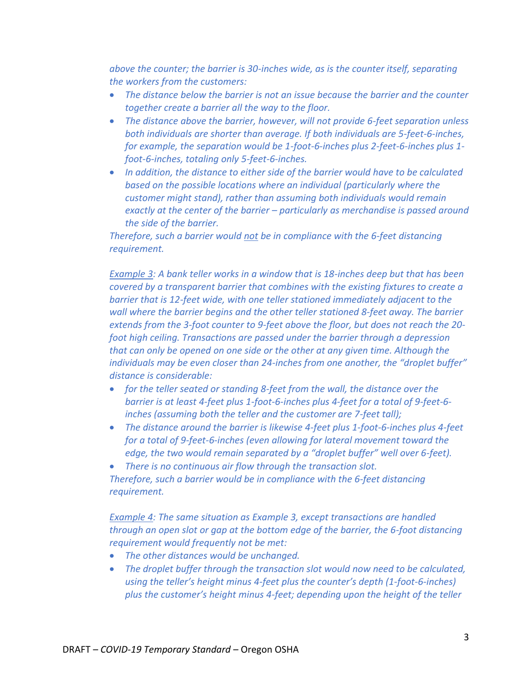*above the counter; the barrier is 30-inches wide, as is the counter itself, separating the workers from the customers:*

- *The distance below the barrier is not an issue because the barrier and the counter together create a barrier all the way to the floor.*
- *The distance above the barrier, however, will not provide 6-feet separation unless both individuals are shorter than average. If both individuals are 5-feet-6-inches, for example, the separation would be 1-foot-6-inches plus 2-feet-6-inches plus 1 foot-6-inches, totaling only 5-feet-6-inches.*
- *In addition, the distance to either side of the barrier would have to be calculated based on the possible locations where an individual (particularly where the customer might stand), rather than assuming both individuals would remain exactly at the center of the barrier – particularly as merchandise is passed around the side of the barrier.*

*Therefore, such a barrier would not be in compliance with the 6-feet distancing requirement.*

*Example 3: A bank teller works in a window that is 18-inches deep but that has been covered by a transparent barrier that combines with the existing fixtures to create a barrier that is 12-feet wide, with one teller stationed immediately adjacent to the wall where the barrier begins and the other teller stationed 8-feet away. The barrier extends from the 3-foot counter to 9-feet above the floor, but does not reach the 20 foot high ceiling. Transactions are passed under the barrier through a depression that can only be opened on one side or the other at any given time. Although the individuals may be even closer than 24-inches from one another, the "droplet buffer" distance is considerable:*

- *for the teller seated or standing 8-feet from the wall, the distance over the barrier is at least 4-feet plus 1-foot-6-inches plus 4-feet for a total of 9-feet-6 inches (assuming both the teller and the customer are 7-feet tall);*
- *The distance around the barrier is likewise 4-feet plus 1-foot-6-inches plus 4-feet for a total of 9-feet-6-inches (even allowing for lateral movement toward the edge, the two would remain separated by a "droplet buffer" well over 6-feet).*

 *There is no continuous air flow through the transaction slot. Therefore, such a barrier would be in compliance with the 6-feet distancing requirement.* 

*Example 4: The same situation as Example 3, except transactions are handled through an open slot or gap at the bottom edge of the barrier, the 6-foot distancing requirement would frequently not be met:*

- *The other distances would be unchanged.*
- *The droplet buffer through the transaction slot would now need to be calculated, using the teller's height minus 4-feet plus the counter's depth (1-foot-6-inches) plus the customer's height minus 4-feet; depending upon the height of the teller*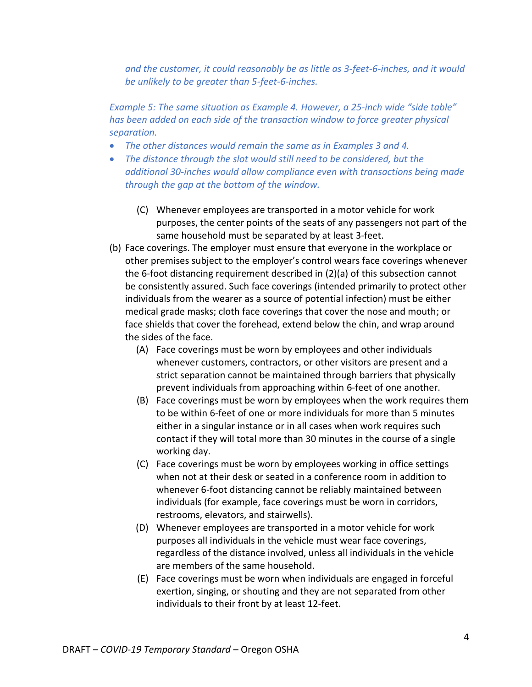*and the customer, it could reasonably be as little as 3-feet-6-inches, and it would be unlikely to be greater than 5-feet-6-inches.* 

*Example 5: The same situation as Example 4. However, a 25-inch wide "side table" has been added on each side of the transaction window to force greater physical separation.*

- *The other distances would remain the same as in Examples 3 and 4.*
- *The distance through the slot would still need to be considered, but the additional 30-inches would allow compliance even with transactions being made through the gap at the bottom of the window.*
	- (C) Whenever employees are transported in a motor vehicle for work purposes, the center points of the seats of any passengers not part of the same household must be separated by at least 3-feet.
- (b) Face coverings. The employer must ensure that everyone in the workplace or other premises subject to the employer's control wears face coverings whenever the 6-foot distancing requirement described in (2)(a) of this subsection cannot be consistently assured. Such face coverings (intended primarily to protect other individuals from the wearer as a source of potential infection) must be either medical grade masks; cloth face coverings that cover the nose and mouth; or face shields that cover the forehead, extend below the chin, and wrap around the sides of the face.
	- (A) Face coverings must be worn by employees and other individuals whenever customers, contractors, or other visitors are present and a strict separation cannot be maintained through barriers that physically prevent individuals from approaching within 6-feet of one another.
	- (B) Face coverings must be worn by employees when the work requires them to be within 6-feet of one or more individuals for more than 5 minutes either in a singular instance or in all cases when work requires such contact if they will total more than 30 minutes in the course of a single working day.
	- (C) Face coverings must be worn by employees working in office settings when not at their desk or seated in a conference room in addition to whenever 6-foot distancing cannot be reliably maintained between individuals (for example, face coverings must be worn in corridors, restrooms, elevators, and stairwells).
	- (D) Whenever employees are transported in a motor vehicle for work purposes all individuals in the vehicle must wear face coverings, regardless of the distance involved, unless all individuals in the vehicle are members of the same household.
	- (E) Face coverings must be worn when individuals are engaged in forceful exertion, singing, or shouting and they are not separated from other individuals to their front by at least 12-feet.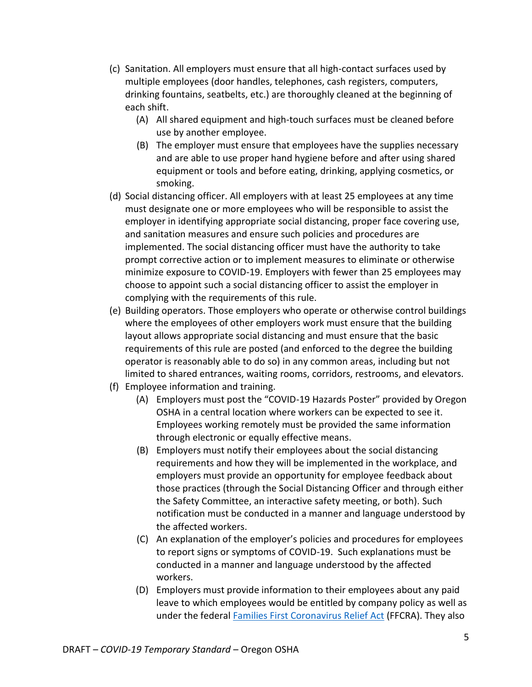- (c) Sanitation. All employers must ensure that all high-contact surfaces used by multiple employees (door handles, telephones, cash registers, computers, drinking fountains, seatbelts, etc.) are thoroughly cleaned at the beginning of each shift.
	- (A) All shared equipment and high-touch surfaces must be cleaned before use by another employee.
	- (B) The employer must ensure that employees have the supplies necessary and are able to use proper hand hygiene before and after using shared equipment or tools and before eating, drinking, applying cosmetics, or smoking.
- (d) Social distancing officer. All employers with at least 25 employees at any time must designate one or more employees who will be responsible to assist the employer in identifying appropriate social distancing, proper face covering use, and sanitation measures and ensure such policies and procedures are implemented. The social distancing officer must have the authority to take prompt corrective action or to implement measures to eliminate or otherwise minimize exposure to COVID-19. Employers with fewer than 25 employees may choose to appoint such a social distancing officer to assist the employer in complying with the requirements of this rule.
- (e) Building operators. Those employers who operate or otherwise control buildings where the employees of other employers work must ensure that the building layout allows appropriate social distancing and must ensure that the basic requirements of this rule are posted (and enforced to the degree the building operator is reasonably able to do so) in any common areas, including but not limited to shared entrances, waiting rooms, corridors, restrooms, and elevators.
- (f) Employee information and training.
	- (A) Employers must post the "COVID-19 Hazards Poster" provided by Oregon OSHA in a central location where workers can be expected to see it. Employees working remotely must be provided the same information through electronic or equally effective means.
	- (B) Employers must notify their employees about the social distancing requirements and how they will be implemented in the workplace, and employers must provide an opportunity for employee feedback about those practices (through the Social Distancing Officer and through either the Safety Committee, an interactive safety meeting, or both). Such notification must be conducted in a manner and language understood by the affected workers.
	- (C) An explanation of the employer's policies and procedures for employees to report signs or symptoms of COVID-19. Such explanations must be conducted in a manner and language understood by the affected workers.
	- (D) Employers must provide information to their employees about any paid leave to which employees would be entitled by company policy as well as under the federal [Families First Coronavirus Relief Act](https://www.dol.gov/agencies/whd/pandemic/ffcra-employee-paid-leave) (FFCRA). They also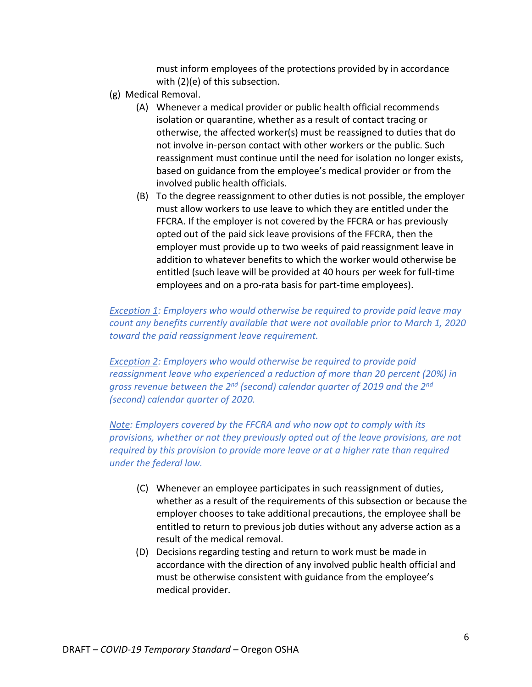must inform employees of the protections provided by in accordance with (2)(e) of this subsection.

- (g) Medical Removal.
	- (A) Whenever a medical provider or public health official recommends isolation or quarantine, whether as a result of contact tracing or otherwise, the affected worker(s) must be reassigned to duties that do not involve in-person contact with other workers or the public. Such reassignment must continue until the need for isolation no longer exists, based on guidance from the employee's medical provider or from the involved public health officials.
	- (B) To the degree reassignment to other duties is not possible, the employer must allow workers to use leave to which they are entitled under the FFCRA. If the employer is not covered by the FFCRA or has previously opted out of the paid sick leave provisions of the FFCRA, then the employer must provide up to two weeks of paid reassignment leave in addition to whatever benefits to which the worker would otherwise be entitled (such leave will be provided at 40 hours per week for full-time employees and on a pro-rata basis for part-time employees).

# *Exception 1: Employers who would otherwise be required to provide paid leave may count any benefits currently available that were not available prior to March 1, 2020 toward the paid reassignment leave requirement.*

*Exception 2: Employers who would otherwise be required to provide paid reassignment leave who experienced a reduction of more than 20 percent (20%) in gross revenue between the 2nd (second) calendar quarter of 2019 and the 2nd (second) calendar quarter of 2020.*

*Note: Employers covered by the FFCRA and who now opt to comply with its provisions, whether or not they previously opted out of the leave provisions, are not required by this provision to provide more leave or at a higher rate than required under the federal law.*

- (C) Whenever an employee participates in such reassignment of duties, whether as a result of the requirements of this subsection or because the employer chooses to take additional precautions, the employee shall be entitled to return to previous job duties without any adverse action as a result of the medical removal.
- (D) Decisions regarding testing and return to work must be made in accordance with the direction of any involved public health official and must be otherwise consistent with guidance from the employee's medical provider.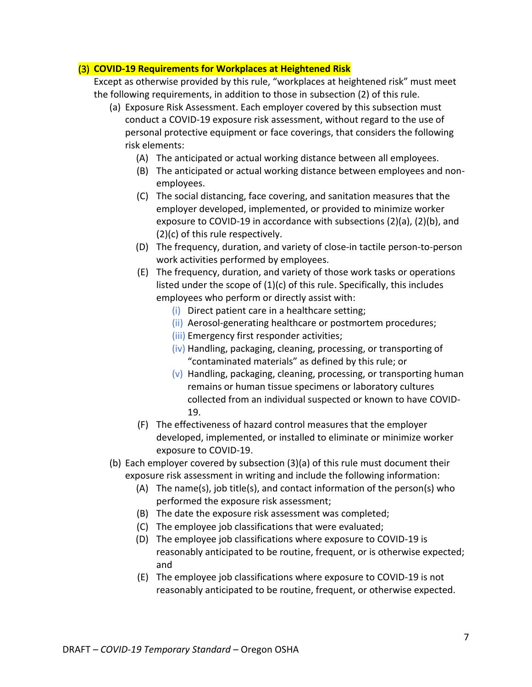# (3) **COVID-19 Requirements for Workplaces at Heightened Risk**

Except as otherwise provided by this rule, "workplaces at heightened risk" must meet the following requirements, in addition to those in subsection (2) of this rule.

- (a) Exposure Risk Assessment. Each employer covered by this subsection must conduct a COVID-19 exposure risk assessment, without regard to the use of personal protective equipment or face coverings, that considers the following risk elements:
	- (A) The anticipated or actual working distance between all employees.
	- (B) The anticipated or actual working distance between employees and nonemployees.
	- (C) The social distancing, face covering, and sanitation measures that the employer developed, implemented, or provided to minimize worker exposure to COVID-19 in accordance with subsections (2)(a), (2)(b), and (2)(c) of this rule respectively.
	- (D) The frequency, duration, and variety of close-in tactile person-to-person work activities performed by employees.
	- (E) The frequency, duration, and variety of those work tasks or operations listed under the scope of (1)(c) of this rule. Specifically, this includes employees who perform or directly assist with:
		- (i) Direct patient care in a healthcare setting;
		- (ii) Aerosol-generating healthcare or postmortem procedures;
		- (iii) Emergency first responder activities;
		- (iv) Handling, packaging, cleaning, processing, or transporting of "contaminated materials" as defined by this rule; or
		- $(v)$  Handling, packaging, cleaning, processing, or transporting human remains or human tissue specimens or laboratory cultures collected from an individual suspected or known to have COVID-19.
	- (F) The effectiveness of hazard control measures that the employer developed, implemented, or installed to eliminate or minimize worker exposure to COVID-19.
- (b) Each employer covered by subsection (3)(a) of this rule must document their exposure risk assessment in writing and include the following information:
	- (A) The name(s), job title(s), and contact information of the person(s) who performed the exposure risk assessment;
	- (B) The date the exposure risk assessment was completed;
	- (C) The employee job classifications that were evaluated;
	- (D) The employee job classifications where exposure to COVID-19 is reasonably anticipated to be routine, frequent, or is otherwise expected; and
	- (E) The employee job classifications where exposure to COVID-19 is not reasonably anticipated to be routine, frequent, or otherwise expected.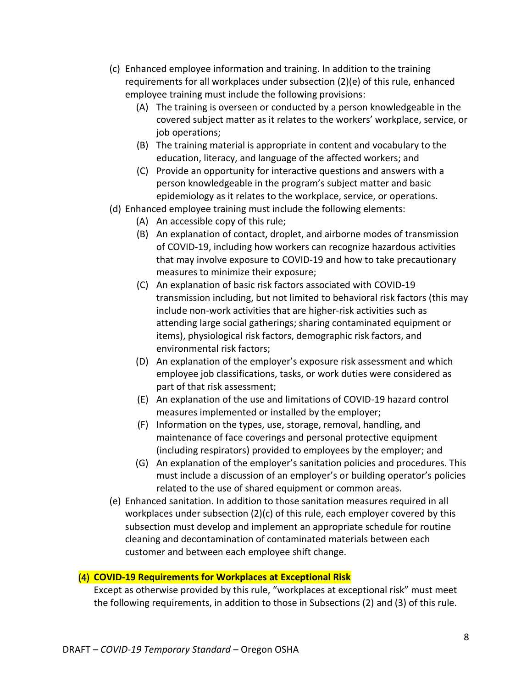- (c) Enhanced employee information and training. In addition to the training requirements for all workplaces under subsection (2)(e) of this rule, enhanced employee training must include the following provisions:
	- (A) The training is overseen or conducted by a person knowledgeable in the covered subject matter as it relates to the workers' workplace, service, or job operations;
	- (B) The training material is appropriate in content and vocabulary to the education, literacy, and language of the affected workers; and
	- (C) Provide an opportunity for interactive questions and answers with a person knowledgeable in the program's subject matter and basic epidemiology as it relates to the workplace, service, or operations.
- (d) Enhanced employee training must include the following elements:
	- (A) An accessible copy of this rule;
	- (B) An explanation of contact, droplet, and airborne modes of transmission of COVID-19, including how workers can recognize hazardous activities that may involve exposure to COVID-19 and how to take precautionary measures to minimize their exposure;
	- (C) An explanation of basic risk factors associated with COVID-19 transmission including, but not limited to behavioral risk factors (this may include non-work activities that are higher-risk activities such as attending large social gatherings; sharing contaminated equipment or items), physiological risk factors, demographic risk factors, and environmental risk factors;
	- (D) An explanation of the employer's exposure risk assessment and which employee job classifications, tasks, or work duties were considered as part of that risk assessment;
	- (E) An explanation of the use and limitations of COVID-19 hazard control measures implemented or installed by the employer;
	- (F) Information on the types, use, storage, removal, handling, and maintenance of face coverings and personal protective equipment (including respirators) provided to employees by the employer; and
	- (G) An explanation of the employer's sanitation policies and procedures. This must include a discussion of an employer's or building operator's policies related to the use of shared equipment or common areas.
- (e) Enhanced sanitation. In addition to those sanitation measures required in all workplaces under subsection (2)(c) of this rule, each employer covered by this subsection must develop and implement an appropriate schedule for routine cleaning and decontamination of contaminated materials between each customer and between each employee shift change.

# (4) **COVID-19 Requirements for Workplaces at Exceptional Risk**

Except as otherwise provided by this rule, "workplaces at exceptional risk" must meet the following requirements, in addition to those in Subsections (2) and (3) of this rule.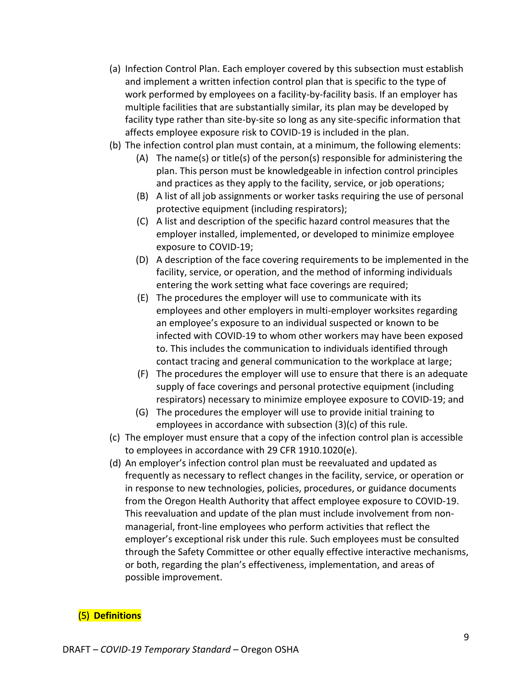- (a) Infection Control Plan. Each employer covered by this subsection must establish and implement a written infection control plan that is specific to the type of work performed by employees on a facility-by-facility basis. If an employer has multiple facilities that are substantially similar, its plan may be developed by facility type rather than site-by-site so long as any site-specific information that affects employee exposure risk to COVID-19 is included in the plan.
- (b) The infection control plan must contain, at a minimum, the following elements:
	- (A) The name(s) or title(s) of the person(s) responsible for administering the plan. This person must be knowledgeable in infection control principles and practices as they apply to the facility, service, or job operations;
	- (B) A list of all job assignments or worker tasks requiring the use of personal protective equipment (including respirators);
	- (C) A list and description of the specific hazard control measures that the employer installed, implemented, or developed to minimize employee exposure to COVID-19;
	- (D) A description of the face covering requirements to be implemented in the facility, service, or operation, and the method of informing individuals entering the work setting what face coverings are required;
	- (E) The procedures the employer will use to communicate with its employees and other employers in multi-employer worksites regarding an employee's exposure to an individual suspected or known to be infected with COVID-19 to whom other workers may have been exposed to. This includes the communication to individuals identified through contact tracing and general communication to the workplace at large;
	- (F) The procedures the employer will use to ensure that there is an adequate supply of face coverings and personal protective equipment (including respirators) necessary to minimize employee exposure to COVID-19; and
	- (G) The procedures the employer will use to provide initial training to employees in accordance with subsection (3)(c) of this rule.
- (c) The employer must ensure that a copy of the infection control plan is accessible to employees in accordance with 29 CFR 1910.1020(e).
- (d) An employer's infection control plan must be reevaluated and updated as frequently as necessary to reflect changes in the facility, service, or operation or in response to new technologies, policies, procedures, or guidance documents from the Oregon Health Authority that affect employee exposure to COVID-19. This reevaluation and update of the plan must include involvement from nonmanagerial, front-line employees who perform activities that reflect the employer's exceptional risk under this rule. Such employees must be consulted through the Safety Committee or other equally effective interactive mechanisms, or both, regarding the plan's effectiveness, implementation, and areas of possible improvement.

# (5) **Definitions**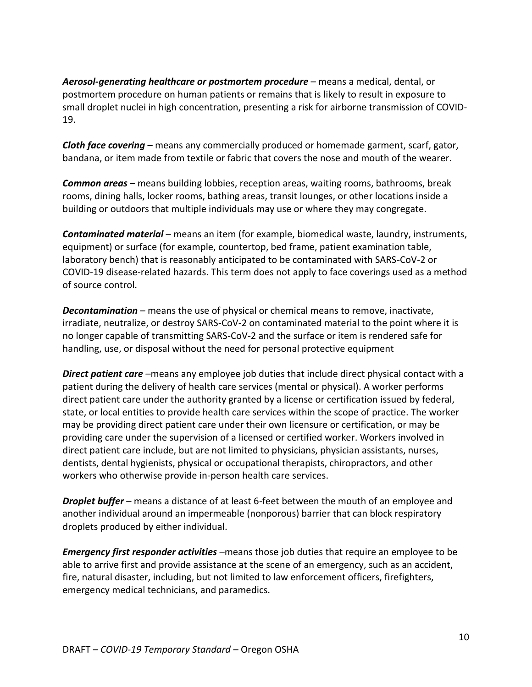*Aerosol-generating healthcare or postmortem procedure* – means a medical, dental, or postmortem procedure on human patients or remains that is likely to result in exposure to small droplet nuclei in high concentration, presenting a risk for airborne transmission of COVID-19.

*Cloth face covering* – means any commercially produced or homemade garment, scarf, gator, bandana, or item made from textile or fabric that covers the nose and mouth of the wearer.

*Common areas* – means building lobbies, reception areas, waiting rooms, bathrooms, break rooms, dining halls, locker rooms, bathing areas, transit lounges, or other locations inside a building or outdoors that multiple individuals may use or where they may congregate.

*Contaminated material* – means an item (for example, biomedical waste, laundry, instruments, equipment) or surface (for example, countertop, bed frame, patient examination table, laboratory bench) that is reasonably anticipated to be contaminated with SARS-CoV-2 or COVID-19 disease-related hazards. This term does not apply to face coverings used as a method of source control.

*Decontamination* – means the use of physical or chemical means to remove, inactivate, irradiate, neutralize, or destroy SARS-CoV-2 on contaminated material to the point where it is no longer capable of transmitting SARS-CoV-2 and the surface or item is rendered safe for handling, use, or disposal without the need for personal protective equipment

*Direct patient care* –means any employee job duties that include direct physical contact with a patient during the delivery of health care services (mental or physical). A worker performs direct patient care under the authority granted by a license or certification issued by federal, state, or local entities to provide health care services within the scope of practice. The worker may be providing direct patient care under their own licensure or certification, or may be providing care under the supervision of a licensed or certified worker. Workers involved in direct patient care include, but are not limited to physicians, physician assistants, nurses, dentists, dental hygienists, physical or occupational therapists, chiropractors, and other workers who otherwise provide in-person health care services.

*Droplet buffer* – means a distance of at least 6-feet between the mouth of an employee and another individual around an impermeable (nonporous) barrier that can block respiratory droplets produced by either individual.

*Emergency first responder activities* –means those job duties that require an employee to be able to arrive first and provide assistance at the scene of an emergency, such as an accident, fire, natural disaster, including, but not limited to law enforcement officers, firefighters, emergency medical technicians, and paramedics.